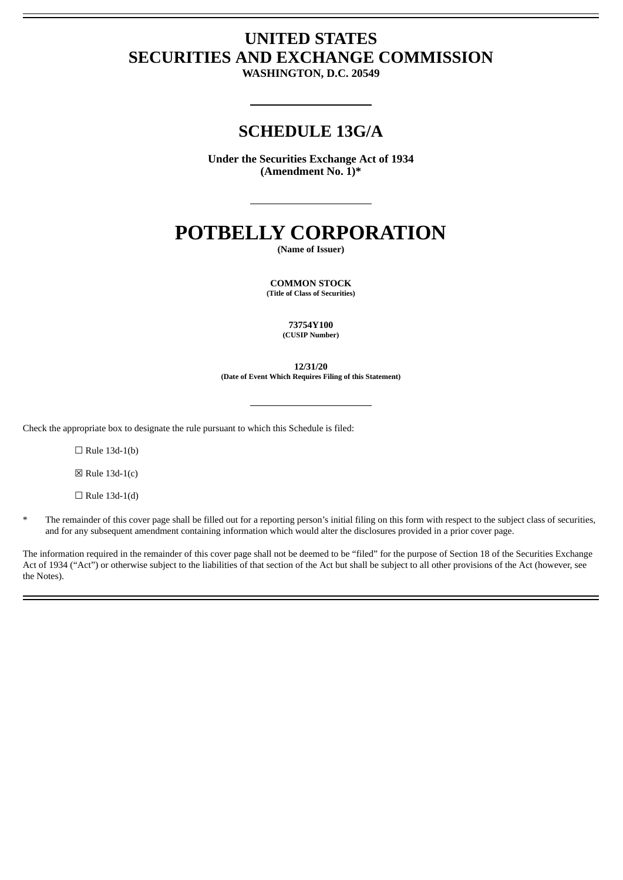## **UNITED STATES SECURITIES AND EXCHANGE COMMISSION**

**WASHINGTON, D.C. 20549**

### **SCHEDULE 13G/A**

**Under the Securities Exchange Act of 1934 (Amendment No. 1)\***

# **POTBELLY CORPORATION**

**(Name of Issuer)**

**COMMON STOCK (Title of Class of Securities)**

> **73754Y100 (CUSIP Number)**

**12/31/20 (Date of Event Which Requires Filing of this Statement)**

Check the appropriate box to designate the rule pursuant to which this Schedule is filed:

 $\Box$  Rule 13d-1(b)

 $\boxtimes$  Rule 13d-1(c)

 $\Box$  Rule 13d-1(d)

\* The remainder of this cover page shall be filled out for a reporting person's initial filing on this form with respect to the subject class of securities, and for any subsequent amendment containing information which would alter the disclosures provided in a prior cover page.

The information required in the remainder of this cover page shall not be deemed to be "filed" for the purpose of Section 18 of the Securities Exchange Act of 1934 ("Act") or otherwise subject to the liabilities of that section of the Act but shall be subject to all other provisions of the Act (however, see the Notes).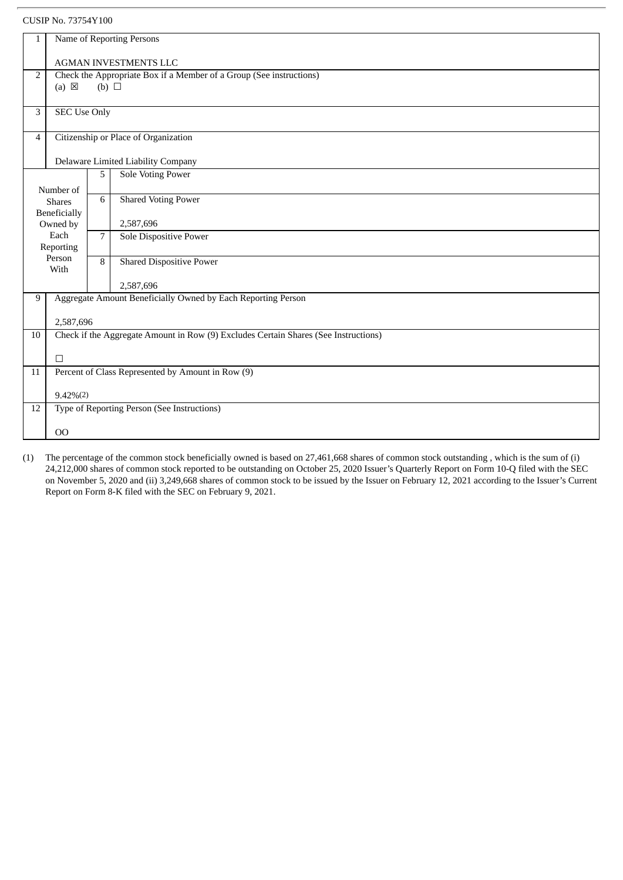#### CUSIP No. 73754Y100

| $\mathbf{1}$   | Name of Reporting Persons                                                                   |   |                                                                                     |  |  |
|----------------|---------------------------------------------------------------------------------------------|---|-------------------------------------------------------------------------------------|--|--|
|                |                                                                                             |   |                                                                                     |  |  |
|                | <b>AGMAN INVESTMENTS LLC</b>                                                                |   |                                                                                     |  |  |
|                | Check the Appropriate Box if a Member of a Group (See instructions)<br>2<br>$(b)$ $\square$ |   |                                                                                     |  |  |
|                | $(a) \boxtimes$                                                                             |   |                                                                                     |  |  |
| 3              | <b>SEC Use Only</b>                                                                         |   |                                                                                     |  |  |
|                |                                                                                             |   |                                                                                     |  |  |
| $\overline{4}$ | Citizenship or Place of Organization                                                        |   |                                                                                     |  |  |
|                | Delaware Limited Liability Company                                                          |   |                                                                                     |  |  |
|                |                                                                                             | 5 | <b>Sole Voting Power</b>                                                            |  |  |
|                | Number of                                                                                   |   |                                                                                     |  |  |
|                | <b>Shares</b>                                                                               | 6 | <b>Shared Voting Power</b>                                                          |  |  |
|                | Beneficially                                                                                |   |                                                                                     |  |  |
|                | Owned by                                                                                    |   | 2,587,696                                                                           |  |  |
|                | Each                                                                                        | 7 | Sole Dispositive Power                                                              |  |  |
|                | Reporting                                                                                   |   |                                                                                     |  |  |
| Person<br>With |                                                                                             | 8 | <b>Shared Dispositive Power</b>                                                     |  |  |
|                |                                                                                             |   | 2,587,696                                                                           |  |  |
| 9              | Aggregate Amount Beneficially Owned by Each Reporting Person                                |   |                                                                                     |  |  |
|                |                                                                                             |   |                                                                                     |  |  |
|                | 2,587,696                                                                                   |   |                                                                                     |  |  |
| 10             |                                                                                             |   | Check if the Aggregate Amount in Row (9) Excludes Certain Shares (See Instructions) |  |  |
|                | $\Box$                                                                                      |   |                                                                                     |  |  |
| 11             |                                                                                             |   | Percent of Class Represented by Amount in Row (9)                                   |  |  |
|                | $9.42\%(2)$                                                                                 |   |                                                                                     |  |  |
| 12             | Type of Reporting Person (See Instructions)                                                 |   |                                                                                     |  |  |
|                | O <sub>O</sub>                                                                              |   |                                                                                     |  |  |
|                |                                                                                             |   |                                                                                     |  |  |

(1) The percentage of the common stock beneficially owned is based on 27,461,668 shares of common stock outstanding , which is the sum of (i) 24,212,000 shares of common stock reported to be outstanding on October 25, 2020 Issuer's Quarterly Report on Form 10-Q filed with the SEC on November 5, 2020 and (ii) 3,249,668 shares of common stock to be issued by the Issuer on February 12, 2021 according to the Issuer's Current Report on Form 8-K filed with the SEC on February 9, 2021.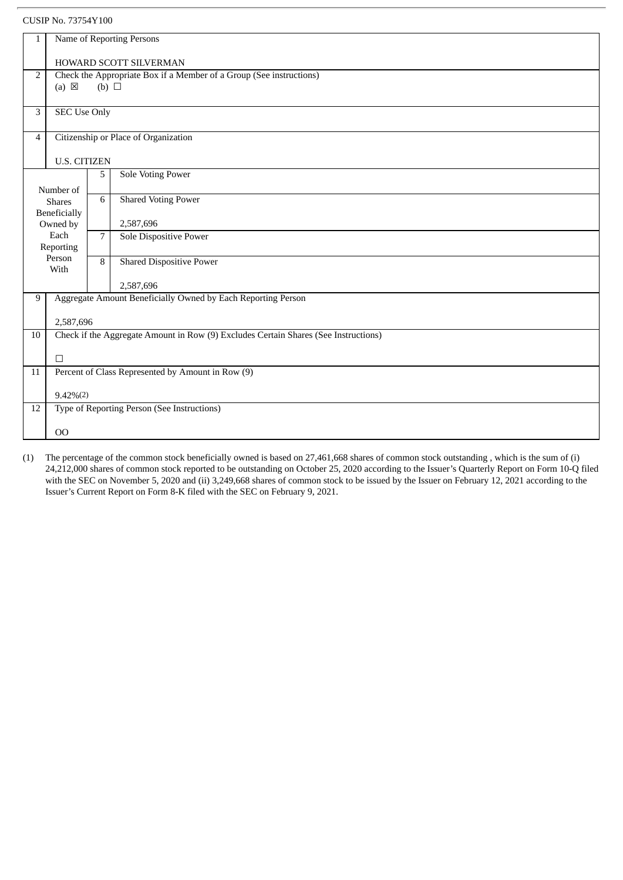#### CUSIP No. 73754Y100

| $\mathbf{1}$        | Name of Reporting Persons                                                                            |                |                                                   |  |  |
|---------------------|------------------------------------------------------------------------------------------------------|----------------|---------------------------------------------------|--|--|
|                     |                                                                                                      |                | HOWARD SCOTT SILVERMAN                            |  |  |
| $\overline{2}$      | Check the Appropriate Box if a Member of a Group (See instructions)<br>$(a) \boxtimes$<br>(b) $\Box$ |                |                                                   |  |  |
|                     |                                                                                                      |                |                                                   |  |  |
| 3                   | <b>SEC Use Only</b>                                                                                  |                |                                                   |  |  |
| $\overline{4}$      | Citizenship or Place of Organization                                                                 |                |                                                   |  |  |
| <b>U.S. CITIZEN</b> |                                                                                                      |                |                                                   |  |  |
|                     |                                                                                                      | 5              | Sole Voting Power                                 |  |  |
|                     | Number of                                                                                            |                |                                                   |  |  |
|                     | <b>Shares</b>                                                                                        | 6              | <b>Shared Voting Power</b>                        |  |  |
|                     | Beneficially                                                                                         |                |                                                   |  |  |
|                     | Owned by<br>Each                                                                                     |                | 2,587,696                                         |  |  |
|                     |                                                                                                      | $\overline{7}$ | Sole Dispositive Power                            |  |  |
|                     | Reporting<br>Person                                                                                  |                |                                                   |  |  |
| With                |                                                                                                      | 8              | <b>Shared Dispositive Power</b>                   |  |  |
|                     |                                                                                                      |                | 2,587,696                                         |  |  |
| 9                   | Aggregate Amount Beneficially Owned by Each Reporting Person                                         |                |                                                   |  |  |
| 2,587,696           |                                                                                                      |                |                                                   |  |  |
| 10                  | Check if the Aggregate Amount in Row (9) Excludes Certain Shares (See Instructions)                  |                |                                                   |  |  |
|                     | $\Box$                                                                                               |                |                                                   |  |  |
| 11                  |                                                                                                      |                | Percent of Class Represented by Amount in Row (9) |  |  |
|                     | $9.42\%(2)$                                                                                          |                |                                                   |  |  |
| 12                  | Type of Reporting Person (See Instructions)                                                          |                |                                                   |  |  |
|                     | 00                                                                                                   |                |                                                   |  |  |
|                     |                                                                                                      |                |                                                   |  |  |

(1) The percentage of the common stock beneficially owned is based on 27,461,668 shares of common stock outstanding , which is the sum of (i) 24,212,000 shares of common stock reported to be outstanding on October 25, 2020 according to the Issuer's Quarterly Report on Form 10-Q filed with the SEC on November 5, 2020 and (ii) 3,249,668 shares of common stock to be issued by the Issuer on February 12, 2021 according to the Issuer's Current Report on Form 8-K filed with the SEC on February 9, 2021.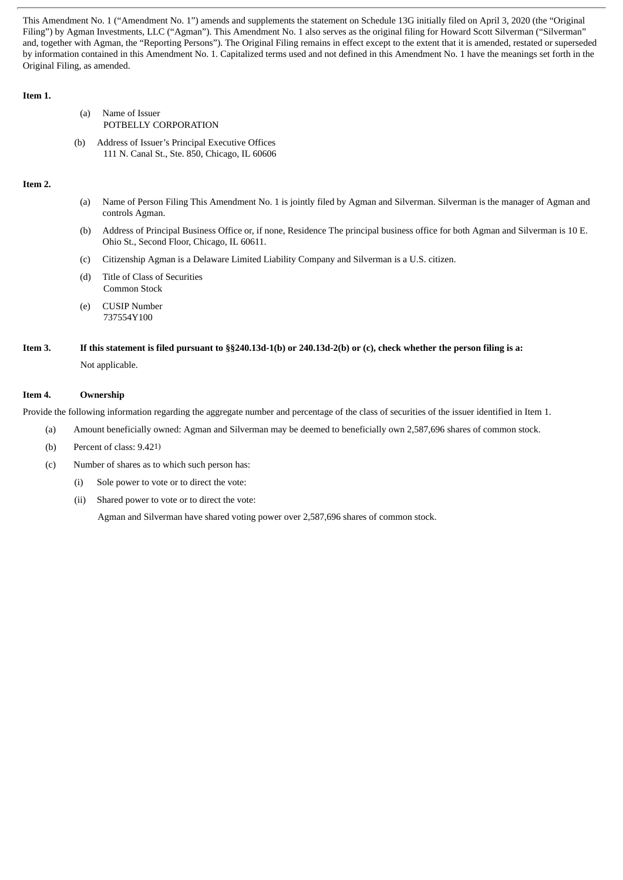This Amendment No. 1 ("Amendment No. 1") amends and supplements the statement on Schedule 13G initially filed on April 3, 2020 (the "Original Filing") by Agman Investments, LLC ("Agman"). This Amendment No. 1 also serves as the original filing for Howard Scott Silverman ("Silverman" and, together with Agman, the "Reporting Persons"). The Original Filing remains in effect except to the extent that it is amended, restated or superseded by information contained in this Amendment No. 1. Capitalized terms used and not defined in this Amendment No. 1 have the meanings set forth in the Original Filing, as amended.

#### **Item 1.**

- (a) Name of Issuer POTBELLY CORPORATION
- (b) Address of Issuer's Principal Executive Offices 111 N. Canal St., Ste. 850, Chicago, IL 60606

#### **Item 2.**

- (a) Name of Person Filing This Amendment No. 1 is jointly filed by Agman and Silverman. Silverman is the manager of Agman and controls Agman.
- (b) Address of Principal Business Office or, if none, Residence The principal business office for both Agman and Silverman is 10 E. Ohio St., Second Floor, Chicago, IL 60611.
- (c) Citizenship Agman is a Delaware Limited Liability Company and Silverman is a U.S. citizen.
- (d) Title of Class of Securities Common Stock
- (e) CUSIP Number 737554Y100
- Item 3. If this statement is filed pursuant to §§240.13d-1(b) or 240.13d-2(b) or (c), check whether the person filing is a: Not applicable.

#### **Item 4. Ownership**

Provide the following information regarding the aggregate number and percentage of the class of securities of the issuer identified in Item 1.

- (a) Amount beneficially owned: Agman and Silverman may be deemed to beneficially own 2,587,696 shares of common stock.
- (b) Percent of class: 9.421)
- (c) Number of shares as to which such person has:
	- (i) Sole power to vote or to direct the vote:
	- (ii) Shared power to vote or to direct the vote:

Agman and Silverman have shared voting power over 2,587,696 shares of common stock.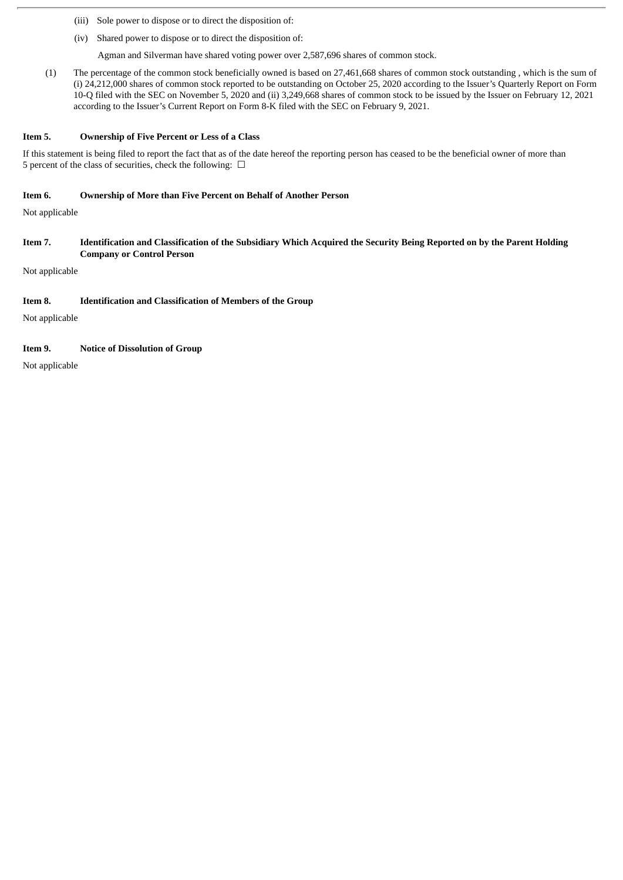- (iii) Sole power to dispose or to direct the disposition of:
- (iv) Shared power to dispose or to direct the disposition of:

Agman and Silverman have shared voting power over 2,587,696 shares of common stock.

(1) The percentage of the common stock beneficially owned is based on 27,461,668 shares of common stock outstanding , which is the sum of (i) 24,212,000 shares of common stock reported to be outstanding on October 25, 2020 according to the Issuer's Quarterly Report on Form 10-Q filed with the SEC on November 5, 2020 and (ii) 3,249,668 shares of common stock to be issued by the Issuer on February 12, 2021 according to the Issuer's Current Report on Form 8-K filed with the SEC on February 9, 2021.

#### **Item 5. Ownership of Five Percent or Less of a Class**

If this statement is being filed to report the fact that as of the date hereof the reporting person has ceased to be the beneficial owner of more than 5 percent of the class of securities, check the following:  $\ \Box$ 

#### **Item 6. Ownership of More than Five Percent on Behalf of Another Person**

Not applicable

Item 7. Identification and Classification of the Subsidiary Which Acquired the Security Being Reported on by the Parent Holding **Company or Control Person**

Not applicable

#### **Item 8. Identification and Classification of Members of the Group**

Not applicable

#### **Item 9. Notice of Dissolution of Group**

Not applicable